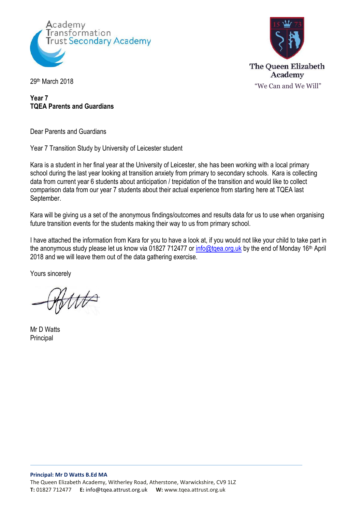



**Year 7 TQEA Parents and Guardians**

Dear Parents and Guardians

Year 7 Transition Study by University of Leicester student

Kara is a student in her final year at the University of Leicester, she has been working with a local primary school during the last year looking at transition anxiety from primary to secondary schools. Kara is collecting data from current year 6 students about anticipation / trepidation of the transition and would like to collect comparison data from our year 7 students about their actual experience from starting here at TQEA last September.

Kara will be giving us a set of the anonymous findings/outcomes and results data for us to use when organising future transition events for the students making their way to us from primary school.

I have attached the information from Kara for you to have a look at, if you would not like your child to take part in the anonymous study please let us know via 01827 712477 or [info@tqea.org.uk](mailto:info@tqea.org.uk) by the end of Monday 16<sup>th</sup> April 2018 and we will leave them out of the data gathering exercise.

Yours sincerely

Mr D Watts **Principal**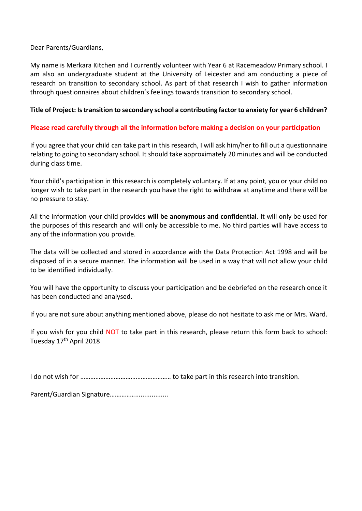Dear Parents/Guardians,

My name is Merkara Kitchen and I currently volunteer with Year 6 at Racemeadow Primary school. I am also an undergraduate student at the University of Leicester and am conducting a piece of research on transition to secondary school. As part of that research I wish to gather information through questionnaires about children's feelings towards transition to secondary school.

### **Title of Project: Is transition to secondary school a contributing factor to anxiety for year 6 children?**

# **Please read carefully through all the information before making a decision on your participation**

If you agree that your child can take part in this research, I will ask him/her to fill out a questionnaire relating to going to secondary school. It should take approximately 20 minutes and will be conducted during class time.

Your child's participation in this research is completely voluntary. If at any point, you or your child no longer wish to take part in the research you have the right to withdraw at anytime and there will be no pressure to stay.

All the information your child provides **will be anonymous and confidential**. It will only be used for the purposes of this research and will only be accessible to me. No third parties will have access to any of the information you provide.

The data will be collected and stored in accordance with the Data Protection Act 1998 and will be disposed of in a secure manner. The information will be used in a way that will not allow your child to be identified individually.

You will have the opportunity to discuss your participation and be debriefed on the research once it has been conducted and analysed.

If you are not sure about anything mentioned above, please do not hesitate to ask me or Mrs. Ward.

If you wish for you child NOT to take part in this research, please return this form back to school: Tuesday 17<sup>th</sup> April 2018

I do not wish for ……………………………………………… to take part in this research into transition.

Parent/Guardian Signature……………..................